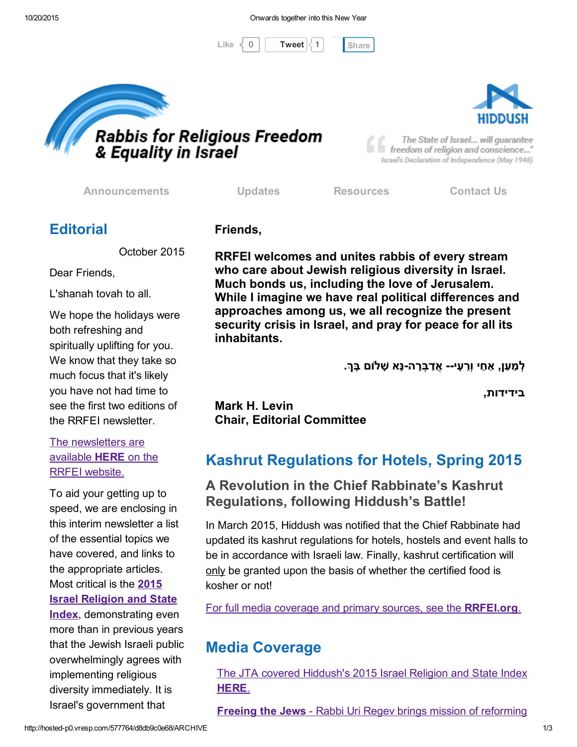





The State of Israel... will guarantee freedom of religion and conscience..." Israel's Declaration of Independence (May 1948)

[Announcements](http://rrfei.org/announcements/) [Updates](http://rrfei.org/about/rrfei-updates/) [Resources](http://rrfei.org/resources/) [Contact](http://rrfei.org/contact-us/) Us

### **Editorial**

October 2015

Dear Friends,

L'shanah tovah to all.

We hope the holidays were both refreshing and spiritually uplifting for you. We know that they take so much focus that it's likely you have not had time to see the first two editions of the RRFEI newsletter.

The [newsletters](http://rrfei.org/about/newsletters/) are available HERE on the RRFEI website.

To aid your getting up to speed, we are enclosing in this interim newsletter a list of the essential topics we have covered, and links to the appropriate articles. Most critical is the 2015 Israel Religion and State **Index**, [demonstrating](http://rrfei.org/resources/hiddush-resources/) even more than in previous years that the Jewish Israeli public overwhelmingly agrees with implementing religious diversity immediately. It is Israel's government that

Friends,

RRFEI welcomes and unites rabbis of every stream who care about Jewish religious diversity in Israel. Much bonds us, including the love of Jerusalem. While I imagine we have real political differences and approaches among us, we all recognize the present security crisis in Israel, and pray for peace for all its inhabitants.

ַלְמַעַן, אַחַי וְרֵעַי-- אֵדַבְּרָה-נָּא שָׁלוֹם בַּךְ.

בידידות,

Mark H. Levin Chair, Editorial Committee

# Kashrut Regulations for Hotels, Spring 2015

#### A Revolution in the Chief Rabbinate's Kashrut Regulations, following Hiddush's Battle!

In March 2015, Hiddush was notified that the Chief Rabbinate had updated its kashrut regulations for hotels, hostels and event halls to be in accordance with Israeli law. Finally, kashrut certification will only be granted upon the basis of whether the certified food is kosher or not!

For full media coverage and primary sources, see the **RRFEI.org**.

# Media Coverage

The JTA covered [Hiddush's](http://www.jta.org/2015/09/13/news-opinion/politics/survey-shows-broad-dissatisfaction-with-israeli-religious-policy) 2015 Israel Religion and State Index HERE.

Freeing the Jews - Rabbi Uri Regev brings mission of [reforming](http://jewishstandard.timesofisrael.com/freeing-the-jews/)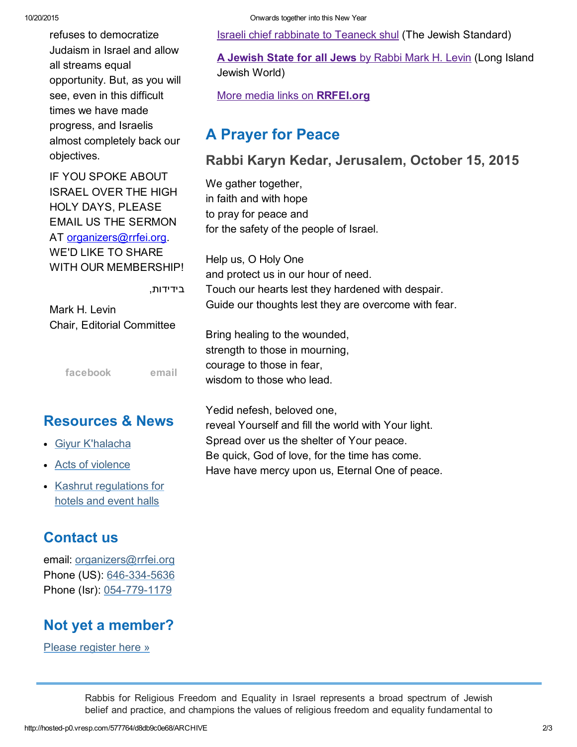| refuses to democratize                                                                                                           | <b>Israeli chief rabbinate to Teaneck shul (The Jewish Standard)</b>                                              |
|----------------------------------------------------------------------------------------------------------------------------------|-------------------------------------------------------------------------------------------------------------------|
| Judaism in Israel and allow<br>all streams equal<br>opportunity. But, as you will                                                | A Jewish State for all Jews by Rabbi Mark H. Levin (Long Isla<br>Jewish World)                                    |
| see, even in this difficult<br>times we have made                                                                                | More media links on RRFEI.org                                                                                     |
| progress, and Israelis<br>almost completely back our                                                                             | <b>A Prayer for Peace</b>                                                                                         |
| objectives.                                                                                                                      | Rabbi Karyn Kedar, Jerusalem, October 15, 2015                                                                    |
| IF YOU SPOKE ABOUT<br><b>ISRAEL OVER THE HIGH</b><br>HOLY DAYS, PLEASE<br><b>EMAIL US THE SERMON</b><br>AT organizers@rrfei.org. | We gather together,<br>in faith and with hope<br>to pray for peace and<br>for the safety of the people of Israel. |
| <b>WE'D LIKE TO SHARE</b><br>WITH OUR MEMBERSHIP!                                                                                | Help us, O Holy One<br>and protect us in our hour of need.                                                        |
| בידידות,<br>Mark H. Levin                                                                                                        | Touch our hearts lest they hardened with despair.<br>Guide our thoughts lest they are overcome with fear.         |
| Chair, Editorial Committee                                                                                                       | Bring healing to the wounded,<br>strength to those in mourning,                                                   |
| facebook<br>email                                                                                                                | courage to those in fear,<br>wisdom to those who lead.                                                            |
| <b>Resources &amp; News</b>                                                                                                      | Yedid nefesh, beloved one,<br>reveal Yourself and fill the world with Your light.                                 |
| <b>Givur K'halacha</b>                                                                                                           | Spread over us the shelter of Your peace.                                                                         |
| • Acts of violence                                                                                                               | Be quick, God of love, for the time has come.<br>Have have mercy upon us, Eternal One of peace.                   |

• Kashrut [regulations](http://rrfei.org/resources/kashrut-regulations-for-hotels-spring-2015/) for hotels and event halls

#### Contact us

email: [organizers@rrfei.org](mailto:organizers@rrfei.org) Phone (US): 646-334-5636 Phone (Isr): 054-779-1179

### Not yet a member?

Please [register](http://rrfei.org/about/registration/) here »

Rabbis for Religious Freedom and Equality in Israel represents a broad spectrum of Jewish belief and practice, and champions the values of religious freedom and equality fundamental to

## Rabbi Karyn Kedar, Jerusalem, October 15, 2015